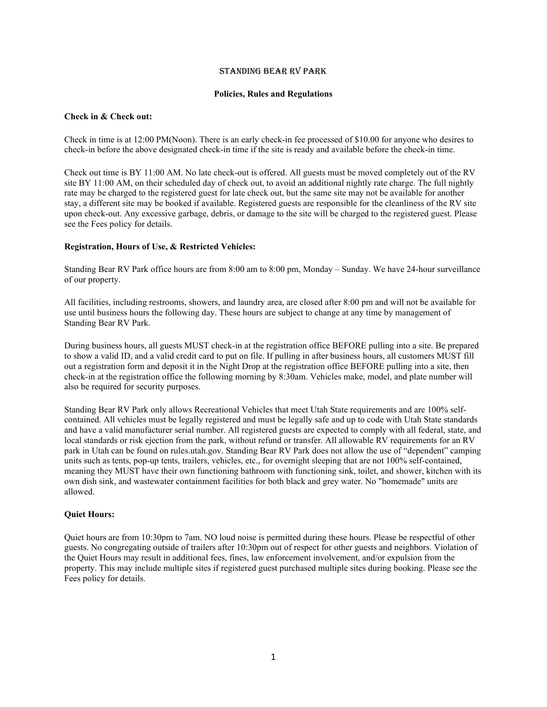## Standing Bear RV Park

## **Policies, Rules and Regulations**

## **Check in & Check out:**

Check in time is at 12:00 PM(Noon). There is an early check-in fee processed of \$10.00 for anyone who desires to check-in before the above designated check-in time if the site is ready and available before the check-in time.

Check out time is BY 11:00 AM. No late check-out is offered. All guests must be moved completely out of the RV site BY 11:00 AM, on their scheduled day of check out, to avoid an additional nightly rate charge. The full nightly rate may be charged to the registered guest for late check out, but the same site may not be available for another stay, a different site may be booked if available. Registered guests are responsible for the cleanliness of the RV site upon check-out. Any excessive garbage, debris, or damage to the site will be charged to the registered guest. Please see the Fees policy for details.

## **Registration, Hours of Use, & Restricted Vehicles:**

Standing Bear RV Park office hours are from 8:00 am to 8:00 pm, Monday – Sunday. We have 24-hour surveillance of our property.

All facilities, including restrooms, showers, and laundry area, are closed after 8:00 pm and will not be available for use until business hours the following day. These hours are subject to change at any time by management of Standing Bear RV Park.

During business hours, all guests MUST check-in at the registration office BEFORE pulling into a site. Be prepared to show a valid ID, and a valid credit card to put on file. If pulling in after business hours, all customers MUST fill out a registration form and deposit it in the Night Drop at the registration office BEFORE pulling into a site, then check-in at the registration office the following morning by 8:30am. Vehicles make, model, and plate number will also be required for security purposes.

Standing Bear RV Park only allows Recreational Vehicles that meet Utah State requirements and are 100% selfcontained. All vehicles must be legally registered and must be legally safe and up to code with Utah State standards and have a valid manufacturer serial number. All registered guests are expected to comply with all federal, state, and local standards or risk ejection from the park, without refund or transfer. All allowable RV requirements for an RV park in Utah can be found on rules.utah.gov. Standing Bear RV Park does not allow the use of "dependent" camping units such as tents, pop-up tents, trailers, vehicles, etc., for overnight sleeping that are not 100% self-contained, meaning they MUST have their own functioning bathroom with functioning sink, toilet, and shower, kitchen with its own dish sink, and wastewater containment facilities for both black and grey water. No "homemade" units are allowed.

# **Quiet Hours:**

Quiet hours are from 10:30pm to 7am. NO loud noise is permitted during these hours. Please be respectful of other guests. No congregating outside of trailers after 10:30pm out of respect for other guests and neighbors. Violation of the Quiet Hours may result in additional fees, fines, law enforcement involvement, and/or expulsion from the property. This may include multiple sites if registered guest purchased multiple sites during booking. Please see the Fees policy for details.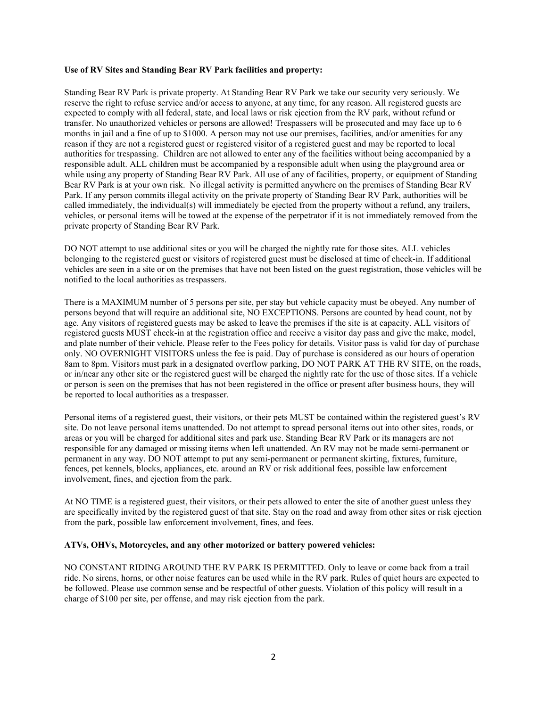## **Use of RV Sites and Standing Bear RV Park facilities and property:**

Standing Bear RV Park is private property. At Standing Bear RV Park we take our security very seriously. We reserve the right to refuse service and/or access to anyone, at any time, for any reason. All registered guests are expected to comply with all federal, state, and local laws or risk ejection from the RV park, without refund or transfer. No unauthorized vehicles or persons are allowed! Trespassers will be prosecuted and may face up to 6 months in jail and a fine of up to \$1000. A person may not use our premises, facilities, and/or amenities for any reason if they are not a registered guest or registered visitor of a registered guest and may be reported to local authorities for trespassing. Children are not allowed to enter any of the facilities without being accompanied by a responsible adult. ALL children must be accompanied by a responsible adult when using the playground area or while using any property of Standing Bear RV Park. All use of any of facilities, property, or equipment of Standing Bear RV Park is at your own risk. No illegal activity is permitted anywhere on the premises of Standing Bear RV Park. If any person commits illegal activity on the private property of Standing Bear RV Park, authorities will be called immediately, the individual(s) will immediately be ejected from the property without a refund, any trailers, vehicles, or personal items will be towed at the expense of the perpetrator if it is not immediately removed from the private property of Standing Bear RV Park.

DO NOT attempt to use additional sites or you will be charged the nightly rate for those sites. ALL vehicles belonging to the registered guest or visitors of registered guest must be disclosed at time of check-in. If additional vehicles are seen in a site or on the premises that have not been listed on the guest registration, those vehicles will be notified to the local authorities as trespassers.

There is a MAXIMUM number of 5 persons per site, per stay but vehicle capacity must be obeyed. Any number of persons beyond that will require an additional site, NO EXCEPTIONS. Persons are counted by head count, not by age. Any visitors of registered guests may be asked to leave the premises if the site is at capacity. ALL visitors of registered guests MUST check-in at the registration office and receive a visitor day pass and give the make, model, and plate number of their vehicle. Please refer to the Fees policy for details. Visitor pass is valid for day of purchase only. NO OVERNIGHT VISITORS unless the fee is paid. Day of purchase is considered as our hours of operation 8am to 8pm. Visitors must park in a designated overflow parking, DO NOT PARK AT THE RV SITE, on the roads, or in/near any other site or the registered guest will be charged the nightly rate for the use of those sites. If a vehicle or person is seen on the premises that has not been registered in the office or present after business hours, they will be reported to local authorities as a trespasser.

Personal items of a registered guest, their visitors, or their pets MUST be contained within the registered guest's RV site. Do not leave personal items unattended. Do not attempt to spread personal items out into other sites, roads, or areas or you will be charged for additional sites and park use. Standing Bear RV Park or its managers are not responsible for any damaged or missing items when left unattended. An RV may not be made semi-permanent or permanent in any way. DO NOT attempt to put any semi-permanent or permanent skirting, fixtures, furniture, fences, pet kennels, blocks, appliances, etc. around an RV or risk additional fees, possible law enforcement involvement, fines, and ejection from the park.

At NO TIME is a registered guest, their visitors, or their pets allowed to enter the site of another guest unless they are specifically invited by the registered guest of that site. Stay on the road and away from other sites or risk ejection from the park, possible law enforcement involvement, fines, and fees.

# **ATVs, OHVs, Motorcycles, and any other motorized or battery powered vehicles:**

NO CONSTANT RIDING AROUND THE RV PARK IS PERMITTED. Only to leave or come back from a trail ride. No sirens, horns, or other noise features can be used while in the RV park. Rules of quiet hours are expected to be followed. Please use common sense and be respectful of other guests. Violation of this policy will result in a charge of \$100 per site, per offense, and may risk ejection from the park.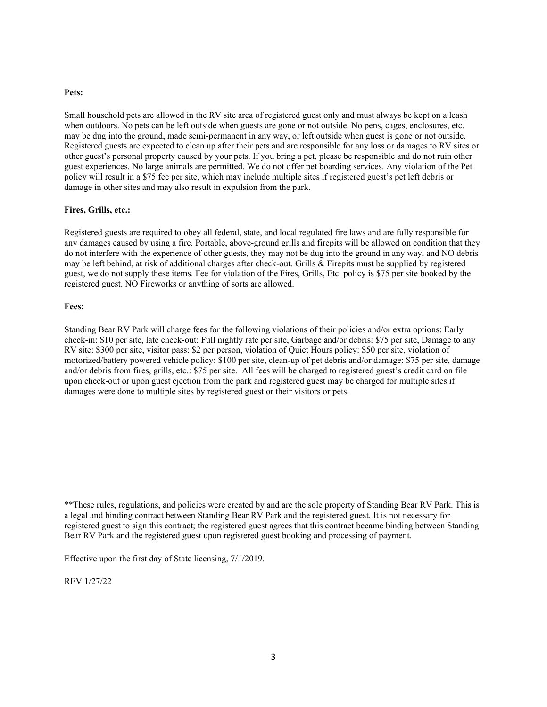### **Pets:**

Small household pets are allowed in the RV site area of registered guest only and must always be kept on a leash when outdoors. No pets can be left outside when guests are gone or not outside. No pens, cages, enclosures, etc. may be dug into the ground, made semi-permanent in any way, or left outside when guest is gone or not outside. Registered guests are expected to clean up after their pets and are responsible for any loss or damages to RV sites or other guest's personal property caused by your pets. If you bring a pet, please be responsible and do not ruin other guest experiences. No large animals are permitted. We do not offer pet boarding services. Any violation of the Pet policy will result in a \$75 fee per site, which may include multiple sites if registered guest's pet left debris or damage in other sites and may also result in expulsion from the park.

### **Fires, Grills, etc.:**

Registered guests are required to obey all federal, state, and local regulated fire laws and are fully responsible for any damages caused by using a fire. Portable, above-ground grills and firepits will be allowed on condition that they do not interfere with the experience of other guests, they may not be dug into the ground in any way, and NO debris may be left behind, at risk of additional charges after check-out. Grills & Firepits must be supplied by registered guest, we do not supply these items. Fee for violation of the Fires, Grills, Etc. policy is \$75 per site booked by the registered guest. NO Fireworks or anything of sorts are allowed.

#### **Fees:**

Standing Bear RV Park will charge fees for the following violations of their policies and/or extra options: Early check-in: \$10 per site, late check-out: Full nightly rate per site, Garbage and/or debris: \$75 per site, Damage to any RV site: \$300 per site, visitor pass: \$2 per person, violation of Quiet Hours policy: \$50 per site, violation of motorized/battery powered vehicle policy: \$100 per site, clean-up of pet debris and/or damage: \$75 per site, damage and/or debris from fires, grills, etc.: \$75 per site. All fees will be charged to registered guest's credit card on file upon check-out or upon guest ejection from the park and registered guest may be charged for multiple sites if damages were done to multiple sites by registered guest or their visitors or pets.

Effective upon the first day of State licensing, 7/1/2019.

REV 1/27/22

<sup>\*\*</sup>These rules, regulations, and policies were created by and are the sole property of Standing Bear RV Park. This is a legal and binding contract between Standing Bear RV Park and the registered guest. It is not necessary for registered guest to sign this contract; the registered guest agrees that this contract became binding between Standing Bear RV Park and the registered guest upon registered guest booking and processing of payment.